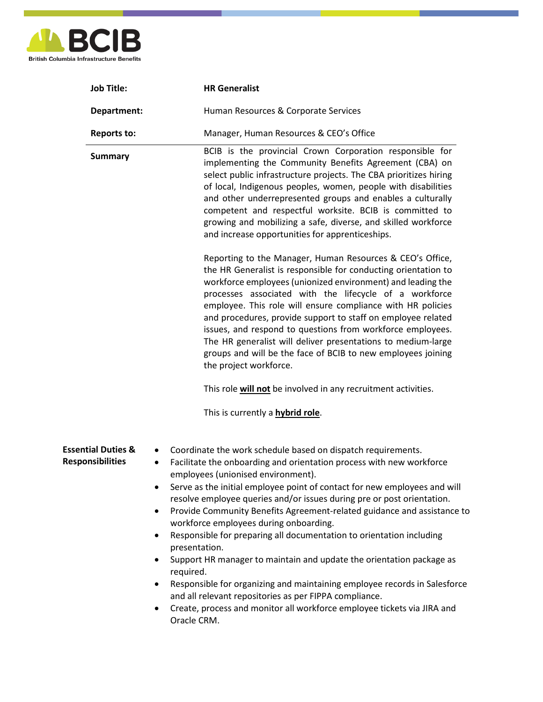

| <b>Job Title:</b>                                        | <b>HR Generalist</b>                                                                                                                                                                                                                                                                                                                                                                                                                                                                                                                                                                                                                                                                                                                                                                                                                                                                                                        |
|----------------------------------------------------------|-----------------------------------------------------------------------------------------------------------------------------------------------------------------------------------------------------------------------------------------------------------------------------------------------------------------------------------------------------------------------------------------------------------------------------------------------------------------------------------------------------------------------------------------------------------------------------------------------------------------------------------------------------------------------------------------------------------------------------------------------------------------------------------------------------------------------------------------------------------------------------------------------------------------------------|
| Department:                                              | Human Resources & Corporate Services                                                                                                                                                                                                                                                                                                                                                                                                                                                                                                                                                                                                                                                                                                                                                                                                                                                                                        |
| <b>Reports to:</b>                                       | Manager, Human Resources & CEO's Office                                                                                                                                                                                                                                                                                                                                                                                                                                                                                                                                                                                                                                                                                                                                                                                                                                                                                     |
| <b>Summary</b>                                           | BCIB is the provincial Crown Corporation responsible for<br>implementing the Community Benefits Agreement (CBA) on<br>select public infrastructure projects. The CBA prioritizes hiring<br>of local, Indigenous peoples, women, people with disabilities<br>and other underrepresented groups and enables a culturally<br>competent and respectful worksite. BCIB is committed to<br>growing and mobilizing a safe, diverse, and skilled workforce<br>and increase opportunities for apprenticeships.                                                                                                                                                                                                                                                                                                                                                                                                                       |
|                                                          | Reporting to the Manager, Human Resources & CEO's Office,<br>the HR Generalist is responsible for conducting orientation to<br>workforce employees (unionized environment) and leading the<br>processes associated with the lifecycle of a workforce<br>employee. This role will ensure compliance with HR policies<br>and procedures, provide support to staff on employee related<br>issues, and respond to questions from workforce employees.<br>The HR generalist will deliver presentations to medium-large<br>groups and will be the face of BCIB to new employees joining<br>the project workforce.                                                                                                                                                                                                                                                                                                                 |
|                                                          | This role will not be involved in any recruitment activities.                                                                                                                                                                                                                                                                                                                                                                                                                                                                                                                                                                                                                                                                                                                                                                                                                                                               |
|                                                          | This is currently a <b>hybrid role</b> .                                                                                                                                                                                                                                                                                                                                                                                                                                                                                                                                                                                                                                                                                                                                                                                                                                                                                    |
| <b>Essential Duties &amp;</b><br><b>Responsibilities</b> | Coordinate the work schedule based on dispatch requirements.<br>$\bullet$<br>Facilitate the onboarding and orientation process with new workforce<br>٠<br>employees (unionised environment).<br>Serve as the initial employee point of contact for new employees and will<br>resolve employee queries and/or issues during pre or post orientation.<br>Provide Community Benefits Agreement-related guidance and assistance to<br>$\bullet$<br>workforce employees during onboarding.<br>Responsible for preparing all documentation to orientation including<br>٠<br>presentation.<br>Support HR manager to maintain and update the orientation package as<br>$\bullet$<br>required.<br>Responsible for organizing and maintaining employee records in Salesforce<br>٠<br>and all relevant repositories as per FIPPA compliance.<br>Create, process and monitor all workforce employee tickets via JIRA and<br>Oracle CRM. |